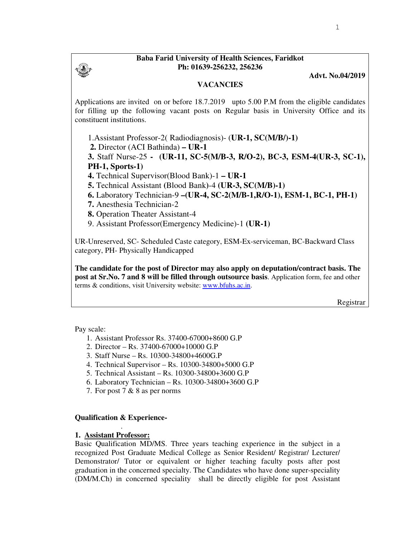# **Baba Farid University of Health Sciences, Faridkot Ph: 01639-256232, 256236**

**Advt. No.04/2019**

## **VACANCIES**

Applications are invited on or before 18.7.2019 upto 5.00 P.M from the eligible candidates for filling up the following vacant posts on Regular basis in University Office and its constituent institutions.

1.Assistant Professor-2( Radiodiagnosis)- (**UR-1, SC(M/B/)-1)**

 **2.** Director (ACI Bathinda) **– UR-1** 

**3.** Staff Nurse-25 **- (UR-11, SC-5(M/B-3, R/O-2), BC-3, ESM-4(UR-3, SC-1), PH-1, Sports-1)** 

**4.** Technical Supervisor(Blood Bank)-1 **– UR-1** 

**5.** Technical Assistant **(**Blood Bank**)**-4 **(UR-3, SC(M/B)-1)** 

**6.** Laboratory Technician-9 **–(UR-4, SC-2(M/B-1,R/O-1), ESM-1, BC-1, PH-1)** 

**7.** Anesthesia Technician-2

**8.** Operation Theater Assistant-4

9. Assistant Professor(Emergency Medicine)-1 **(UR-1)**

UR-Unreserved, SC- Scheduled Caste category, ESM-Ex-serviceman, BC-Backward Class category, PH- Physically Handicapped

**The candidate for the post of Director may also apply on deputation/contract basis. The post at Sr.No. 7 and 8 will be filled through outsource basis**. Application form, fee and other terms & conditions, visit University website: www.bfuhs.ac.in.

Registrar

Pay scale:

- 1. Assistant Professor Rs. 37400-67000+8600 G.P
- 2. Director Rs. 37400-67000+10000 G.P
- 3. Staff Nurse Rs. 10300-34800+4600G.P
- 4. Technical Supervisor Rs. 10300-34800+5000 G.P
- 5. Technical Assistant Rs. 10300-34800+3600 G.P
- 6. Laboratory Technician Rs. 10300-34800+3600 G.P
- 7. For post 7 & 8 as per norms

## **Qualification & Experience-**  .

# **1. Assistant Professor:**

Basic Qualification MD/MS. Three years teaching experience in the subject in a recognized Post Graduate Medical College as Senior Resident/ Registrar/ Lecturer/ Demonstrator/ Tutor or equivalent or higher teaching faculty posts after post graduation in the concerned specialty. The Candidates who have done super-speciality (DM/M.Ch) in concerned speciality shall be directly eligible for post Assistant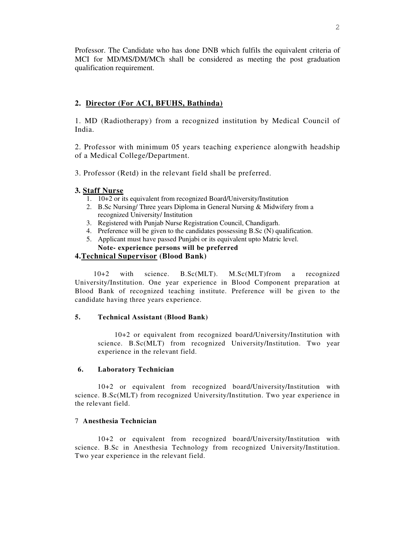Professor. The Candidate who has done DNB which fulfils the equivalent criteria of MCI for MD/MS/DM/MCh shall be considered as meeting the post graduation qualification requirement.

## **2. Director (For ACI, BFUHS, Bathinda)**

1. MD (Radiotherapy) from a recognized institution by Medical Council of India.

2. Professor with minimum 05 years teaching experience alongwith headship of a Medical College/Department.

3. Professor (Retd) in the relevant field shall be preferred.

## **3. Staff Nurse**

- 1. 10+2 or its equivalent from recognized Board/University/Institution
- 2. B.Sc Nursing/ Three years Diploma in General Nursing & Midwifery from a recognized University/ Institution
- 3. Registered with Punjab Nurse Registration Council, Chandigarh.
- 4. Preference will be given to the candidates possessing B.Sc (N) qualification.
- 5. Applicant must have passed Punjabi or its equivalent upto Matric level. **Note- experience persons will be preferred**

## **4.Technical Supervisor (Blood Bank)**

 10+2 with science. B.Sc(MLT). M.Sc(MLT)from a recognized University/Institution. One year experience in Blood Component preparation at Blood Bank of recognized teaching institute. Preference will be given to the candidate having three years experience.

#### **5. Technical Assistant (Blood Bank)**

 10+2 or equivalent from recognized board/University/Institution with science. B.Sc(MLT) from recognized University/Institution. Two year experience in the relevant field.

## **6. Laboratory Technician**

 10+2 or equivalent from recognized board/University/Institution with science. B.Sc(MLT) from recognized University/Institution. Two year experience in the relevant field.

## 7 **Anesthesia Technician**

 10+2 or equivalent from recognized board/University/Institution with science. B.Sc in Anesthesia Technology from recognized University/Institution. Two year experience in the relevant field.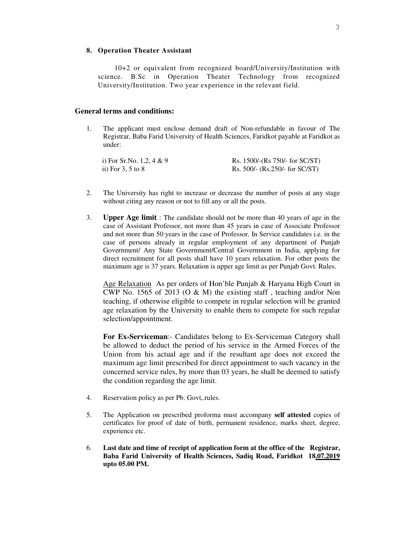### **8. Operation Theater Assistant**

 10+2 or equivalent from recognized board/University/Institution with science. B.Sc in Operation Theater Technology from recognized University/Institution. Two year experience in the relevant field.

## **General terms and conditions:**

1. The applicant must enclose demand draft of Non-refundable in favour of The Registrar, Baba Farid University of Health Sciences, Faridkot payable at Faridkot as under:

| i) For Sr.No. 1,2, 4 & 9 | Rs. 1500/-(Rs 750/- for SC/ST) |
|--------------------------|--------------------------------|
| ii) For $3, 5$ to $8$    | Rs. 500/- (Rs.250/- for SC/ST) |

- 2. The University has right to increase or decrease the number of posts at any stage without citing any reason or not to fill any or all the posts.
- 3. **Upper Age limit** : The candidate should not be more than 40 years of age in the case of Assistant Professor, not more than 45 years in case of Associate Professor and not more than 50 years in the case of Professor. In Service candidates i.e. in the case of persons already in regular employment of any department of Punjab Government/ Any State Government/Central Government in India, applying for direct recruitment for all posts shall have 10 years relaxation. For other posts the maximum age is 37 years. Relaxation is upper age limit as per Punjab Govt. Rules.

Age Relaxation As per orders of Hon'ble Punjab & Haryana High Court in CWP No. 1565 of 2013 (O & M) the existing staff , teaching and/or Non teaching, if otherwise eligible to compete in regular selection will be granted age relaxation by the University to enable them to compete for such regular selection/appointment.

**For Ex-Serviceman**:- Candidates belong to Ex-Serviceman Category shall be allowed to deduct the period of his service in the Armed Forces of the Union from his actual age and if the resultant age does not exceed the maximum age limit prescribed for direct appointment to such vacancy in the concerned service rules, by more than 03 years, he shall be deemed to satisfy the condition regarding the age limit.

- 4. Reservation policy as per Pb. Govt,.rules.
- 5. The Application on prescribed proforma must accompany **self attested** copies of certificates for proof of date of birth, permanent residence, marks sheet, degree, experience etc.
- 6. **Last date and time of receipt of application form at the office of the Registrar, Baba Farid University of Health Sciences, Sadiq Road, Faridkot 18.07.2019 upto 05.00 PM.**